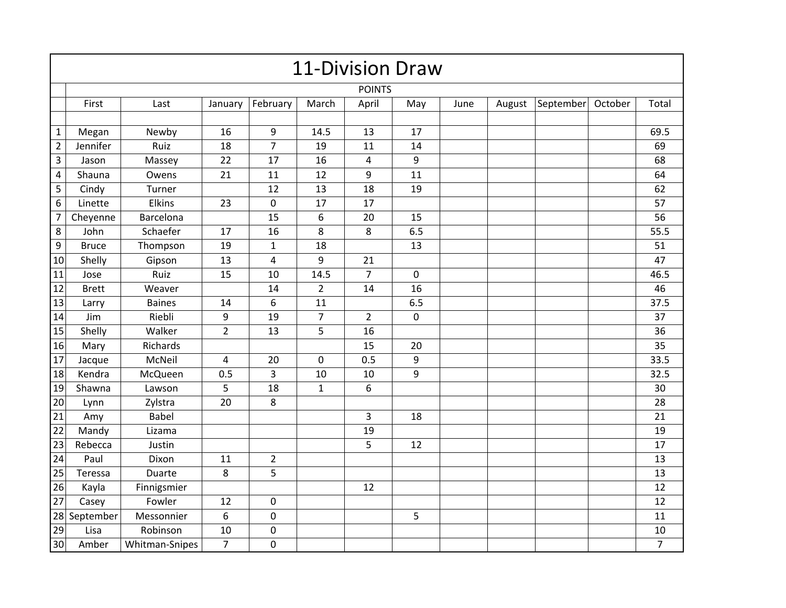| <b>11-Division Draw</b> |               |                |                |                         |                |                |     |      |        |           |         |                |
|-------------------------|---------------|----------------|----------------|-------------------------|----------------|----------------|-----|------|--------|-----------|---------|----------------|
|                         | <b>POINTS</b> |                |                |                         |                |                |     |      |        |           |         |                |
|                         | First         | Last           | January        | February                | March          | April          | May | June | August | September | October | Total          |
|                         |               |                |                |                         |                |                |     |      |        |           |         |                |
| $\mathbf{1}$            | Megan         | Newby          | 16             | 9                       | 14.5           | 13             | 17  |      |        |           |         | 69.5           |
| $\overline{2}$          | Jennifer      | Ruiz           | 18             | $\overline{7}$          | 19             | 11             | 14  |      |        |           |         | 69             |
| $\overline{\mathbf{3}}$ | Jason         | Massey         | 22             | 17                      | 16             | $\pmb{4}$      | 9   |      |        |           |         | 68             |
| 4                       | Shauna        | Owens          | 21             | 11                      | 12             | 9              | 11  |      |        |           |         | 64             |
| 5                       | Cindy         | Turner         |                | 12                      | 13             | 18             | 19  |      |        |           |         | 62             |
| $6\phantom{a}$          | Linette       | Elkins         | 23             | $\pmb{0}$               | 17             | 17             |     |      |        |           |         | 57             |
| $\overline{7}$          | Cheyenne      | Barcelona      |                | 15                      | 6              | 20             | 15  |      |        |           |         | 56             |
| 8                       | John          | Schaefer       | 17             | 16                      | 8              | 8              | 6.5 |      |        |           |         | 55.5           |
| 9                       | <b>Bruce</b>  | Thompson       | 19             | $\mathbf{1}$            | 18             |                | 13  |      |        |           |         | 51             |
| 10                      | Shelly        | Gipson         | 13             | $\overline{\mathbf{4}}$ | 9              | 21             |     |      |        |           |         | 47             |
| 11                      | Jose          | Ruiz           | 15             | 10                      | 14.5           | $\overline{7}$ | 0   |      |        |           |         | 46.5           |
| 12                      | <b>Brett</b>  | Weaver         |                | 14                      | $\overline{2}$ | 14             | 16  |      |        |           |         | 46             |
| 13                      | Larry         | <b>Baines</b>  | 14             | 6                       | 11             |                | 6.5 |      |        |           |         | 37.5           |
| 14                      | Jim           | Riebli         | 9              | 19                      | $\overline{7}$ | $\overline{2}$ | 0   |      |        |           |         | 37             |
| 15                      | Shelly        | Walker         | $\overline{2}$ | 13                      | 5              | 16             |     |      |        |           |         | 36             |
| 16                      | Mary          | Richards       |                |                         |                | 15             | 20  |      |        |           |         | 35             |
| 17                      | Jacque        | McNeil         | 4              | 20                      | 0              | 0.5            | 9   |      |        |           |         | 33.5           |
| 18                      | Kendra        | McQueen        | 0.5            | 3                       | 10             | 10             | 9   |      |        |           |         | 32.5           |
| 19                      | Shawna        | Lawson         | 5              | 18                      | $\mathbf{1}$   | 6              |     |      |        |           |         | 30             |
| 20                      | Lynn          | Zylstra        | 20             | $\,8\,$                 |                |                |     |      |        |           |         | 28             |
| 21                      | Amy           | <b>Babel</b>   |                |                         |                | $\overline{3}$ | 18  |      |        |           |         | 21             |
| 22                      | Mandy         | Lizama         |                |                         |                | 19             |     |      |        |           |         | 19             |
| 23                      | Rebecca       | Justin         |                |                         |                | 5              | 12  |      |        |           |         | 17             |
| 24                      | Paul          | Dixon          | 11             | $\overline{2}$          |                |                |     |      |        |           |         | 13             |
| 25                      | Teressa       | Duarte         | 8              | 5                       |                |                |     |      |        |           |         | 13             |
| 26                      | Kayla         | Finnigsmier    |                |                         |                | 12             |     |      |        |           |         | 12             |
| 27                      | Casey         | Fowler         | 12             | $\pmb{0}$               |                |                |     |      |        |           |         | 12             |
|                         | 28 September  | Messonnier     | 6              | $\mathsf{O}\xspace$     |                |                | 5   |      |        |           |         | 11             |
| 29                      | Lisa          | Robinson       | 10             | $\pmb{0}$               |                |                |     |      |        |           |         | 10             |
| 30                      | Amber         | Whitman-Snipes | $\overline{7}$ | $\pmb{0}$               |                |                |     |      |        |           |         | $\overline{7}$ |